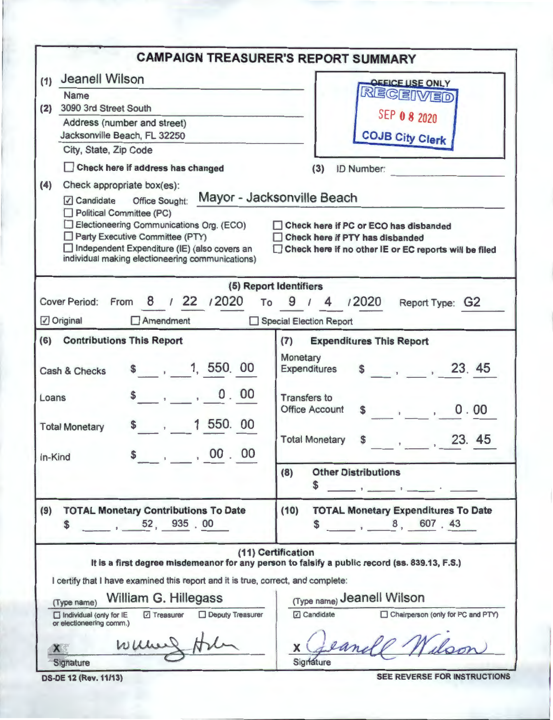| <b>CAMPAIGN TREASURER'S REPORT SUMMARY</b>                                                                                                                                                                                                                                                                                                                                                                                                         |
|----------------------------------------------------------------------------------------------------------------------------------------------------------------------------------------------------------------------------------------------------------------------------------------------------------------------------------------------------------------------------------------------------------------------------------------------------|
| <b>OFFICE USE ONLY</b><br>RECEIVED<br>SEP 0 8 2020<br><b>COJB City Clerk</b><br>(3)<br>ID Number:<br>Mayor - Jacksonville Beach<br>Check here if PC or ECO has disbanded<br>Check here if PTY has disbanded                                                                                                                                                                                                                                        |
| Check here if no other IE or EC reports will be filed<br>(5) Report Identifiers                                                                                                                                                                                                                                                                                                                                                                    |
| /2020<br>$9/4$<br>To<br>Report Type: G2<br>Special Election Report                                                                                                                                                                                                                                                                                                                                                                                 |
| (7)<br><b>Expenditures This Report</b><br>Monetary<br>\$ 23.45<br>Expenditures<br><b>Transfers to</b><br>$\label{eq:1.1} \begin{array}{cccccccccc} \ddots & \ddots & \ddots & \ddots & \ddots \end{array}$<br><b>Office Account</b><br>0.00<br>\$<br>23. 45<br><b>Total Monetary</b><br>\$<br><b>Other Distributions</b><br>(8)<br>the contract of the contract of the contract of the contract of the contract of the contract of the contract of |
| <b>TOTAL Monetary Expenditures To Date</b><br>(10)<br>8, 607.43                                                                                                                                                                                                                                                                                                                                                                                    |
| (11) Certification<br>It is a first degree misdemeanor for any person to falsify a public record (ss. 839.13, F.S.)<br>I certify that I have examined this report and it is true, correct, and complete:<br>(Type name) Jeanell Wilson<br>Candidate<br>Chairperson (only for PC and PTY)<br>eandl                                                                                                                                                  |
|                                                                                                                                                                                                                                                                                                                                                                                                                                                    |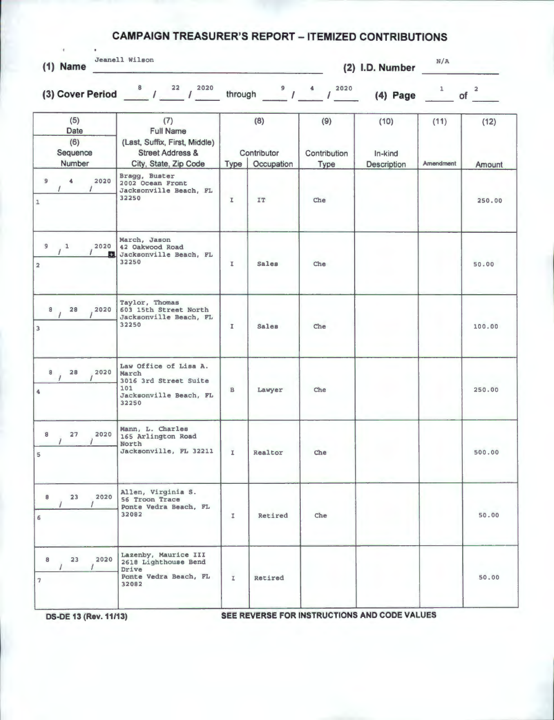## **CAMPAIGN TREASURER'S REPORT - ITEMIZED CONTRIBUTIONS**

| $(1)$ Name                                                                | Jeanell Wilson                                                                                                   |               |                                  |                                                              | (2) I.D. Number                | N/A               |                               |
|---------------------------------------------------------------------------|------------------------------------------------------------------------------------------------------------------|---------------|----------------------------------|--------------------------------------------------------------|--------------------------------|-------------------|-------------------------------|
|                                                                           | (3) Cover Period $\frac{8}{1}$ / $\frac{22}{1}$ / $\frac{2020}{1}$                                               |               |                                  | through $\frac{9}{1}$ $\frac{4}{1}$ $\frac{2020}{1}$<br>2020 | $(4)$ Page                     | $1 -$             | $\overline{\mathbf{2}}$<br>of |
| (5)<br>Date<br>(6)<br>Sequence<br>Number                                  | (7)<br><b>Full Name</b><br>(Last, Suffix, First, Middle)<br><b>Street Address &amp;</b><br>City, State, Zip Code | Type          | (8)<br>Contributor<br>Occupation | (9)<br>Contribution<br><b>Type</b>                           | (10)<br>In-kind<br>Description | (11)<br>Amendment | (12)<br>Amount                |
| $\blacktriangleleft$<br>2020<br>$\mathbf{9}$<br>$\prime$<br>$\mathbbm{1}$ | Bragg, Buster<br>2002 Ocean Front<br>Jacksonville Beach, FL<br>32250                                             | $\mathbbm{I}$ | IT.                              | Che                                                          |                                |                   | 250.00                        |
| 9/1<br>2020<br><b>FEL</b><br>$\overline{a}$                               | March, Jason<br>42 Oakwood Road<br>Jacksonville Beach, FL<br>32250                                               | $\mathbbm{L}$ | <b>Sales</b>                     | Che                                                          |                                |                   | 50.00                         |
| $\overline{\phantom{a}}$<br>28<br>2020<br>$\overline{\mathbf{3}}$         | Taylor, Thomas<br>603 15th Street North<br>Jacksonville Beach, FL<br>32250                                       | $\mathbf{I}$  | Sales                            | Che                                                          |                                |                   | 100.00                        |
| $^8$ /<br>28<br>2020<br>$\ddot{\phantom{a}}$                              | Law Office of Lisa A.<br>March<br>3016 3rd Street Suite<br>101<br>Jacksonville Beach, FL<br>32250                | $\,$ B        | Lawyer                           | Che                                                          |                                |                   | 250.00                        |
| 8<br>27<br>2020<br>$5^{\circ}$                                            | Mann, L. Charles<br>165 Arlington Road<br>North<br>Jacksonville, FL 32211                                        | $\mathbbm{Z}$ | Realtor                          | Che                                                          |                                |                   | 500.00                        |
| 2020<br>8<br>23<br>6                                                      | Allen, Virginia S.<br>56 Troon Trace<br>Ponte Vedra Beach, FL<br>32082                                           | I.            | Retired                          | Che                                                          |                                |                   | 50.00                         |
| 2020<br>8<br>23<br>$\overline{7}$                                         | Lazenby, Maurice III<br>2618 Lighthouse Bend<br>Drive<br>Ponte Vedra Beach, FL<br>32082                          | $\mathbb{I}$  | Retired                          |                                                              |                                |                   | 50.00                         |

**DS-DE 13 (Rev. 11/13)** SEE REVERSE FOR INSTRUCTIONS AND CODE VALUES

J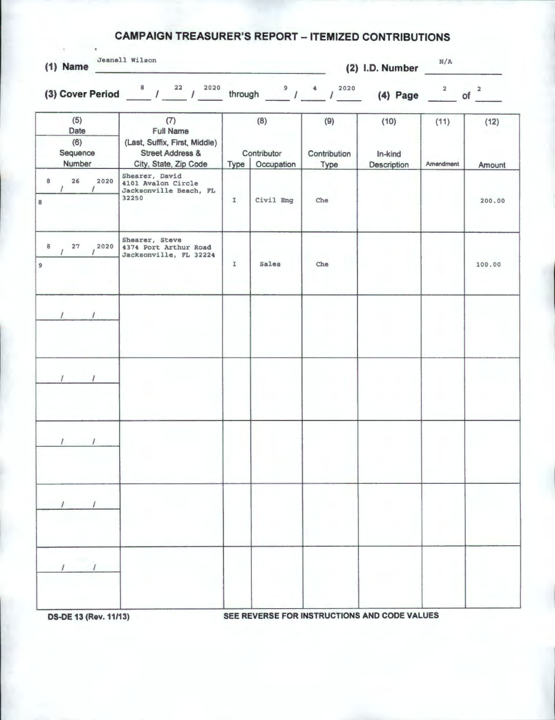## **CAMPAIGN TREASURER'S REPORT - ITEMIZED CONTRIBUTIONS**

|        | $\sim 10$<br>$\blacksquare$<br>$(1)$ Name | Jeanell Wilson                                                                                                   |               |                                  |                                        | (2) I.D. Number                | N/A                     |                               |
|--------|-------------------------------------------|------------------------------------------------------------------------------------------------------------------|---------------|----------------------------------|----------------------------------------|--------------------------------|-------------------------|-------------------------------|
|        |                                           | (3) Cover Period $8/22$<br>2020                                                                                  | through       | $\frac{9}{1}$                    | 2020<br>$\triangleq$<br>$\overline{I}$ | $(4)$ Page                     | $\overline{\mathbf{2}}$ | $\overline{\mathbf{2}}$<br>of |
|        | (5)<br>Date<br>(6)<br>Sequence<br>Number  | (7)<br><b>Full Name</b><br>(Last, Suffix, First, Middle)<br><b>Street Address &amp;</b><br>City, State, Zip Code | Type          | (8)<br>Contributor<br>Occupation | (9)<br>Contribution<br>Type            | (10)<br>In-kind<br>Description | (11)<br>Amendment       | (12)<br>Amount                |
| 8<br>8 | 26<br>2020                                | Shearer, David<br>4101 Avalon Circle<br>Jacksonville Beach, FL<br>32250                                          | I             | Civil Eng                        | Che                                    |                                |                         | 200.00                        |
| 8<br>9 | 27<br>2020                                | Shearer, Steve<br>4374 Port Arthur Road<br>Jacksonville, FL 32224                                                | $\mathbbm{I}$ | Sales                            | Che                                    |                                |                         | 100.00                        |
|        | $\sqrt{2}$                                |                                                                                                                  |               |                                  |                                        |                                |                         |                               |
|        |                                           |                                                                                                                  |               |                                  |                                        |                                |                         |                               |
|        |                                           |                                                                                                                  |               |                                  |                                        |                                |                         |                               |
|        |                                           |                                                                                                                  |               |                                  |                                        |                                |                         |                               |
|        |                                           |                                                                                                                  |               |                                  |                                        |                                |                         |                               |

**DS-DE 13 (Rev. 11/13)** SEE REVERSE FOR INSTRUCTIONS AND CODE VALUES